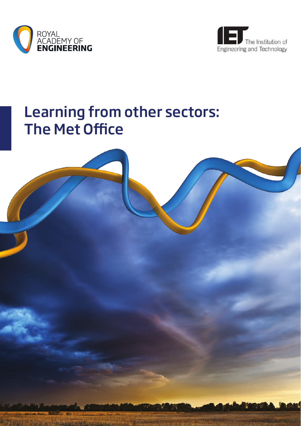



# Learning from other sectors: The Met Office